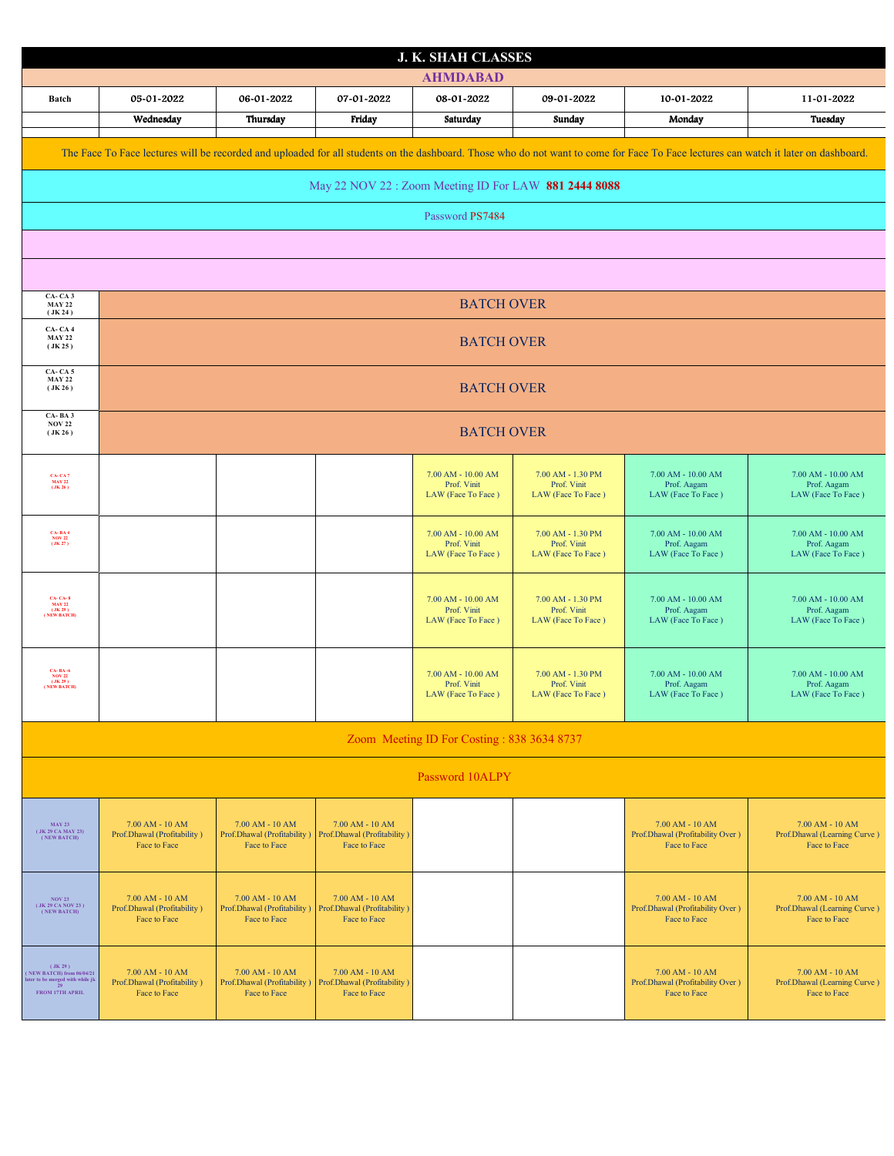| <b>J. K. SHAH CLASSES</b>                                                                                                                                                           |                                                                    |                                                                         |                                                                         |                                                             |                                                        |                                                                         |                                                                          |  |  |
|-------------------------------------------------------------------------------------------------------------------------------------------------------------------------------------|--------------------------------------------------------------------|-------------------------------------------------------------------------|-------------------------------------------------------------------------|-------------------------------------------------------------|--------------------------------------------------------|-------------------------------------------------------------------------|--------------------------------------------------------------------------|--|--|
| <b>AHMDABAD</b>                                                                                                                                                                     |                                                                    |                                                                         |                                                                         |                                                             |                                                        |                                                                         |                                                                          |  |  |
| Batch                                                                                                                                                                               | 05-01-2022                                                         | 06-01-2022                                                              | 07-01-2022                                                              | 08-01-2022                                                  | 09-01-2022                                             | 10-01-2022                                                              | 11-01-2022                                                               |  |  |
|                                                                                                                                                                                     | Wednesday                                                          | Thursday                                                                | Friday                                                                  | Saturday                                                    | Sunday                                                 | Monday                                                                  | Tuesday                                                                  |  |  |
| The Face To Face lectures will be recorded and uploaded for all students on the dashboard. Those who do not want to come for Face To Face lectures can watch it later on dashboard. |                                                                    |                                                                         |                                                                         |                                                             |                                                        |                                                                         |                                                                          |  |  |
| May 22 NOV 22 : Zoom Meeting ID For LAW 881 2444 8088                                                                                                                               |                                                                    |                                                                         |                                                                         |                                                             |                                                        |                                                                         |                                                                          |  |  |
| Password PS7484                                                                                                                                                                     |                                                                    |                                                                         |                                                                         |                                                             |                                                        |                                                                         |                                                                          |  |  |
|                                                                                                                                                                                     |                                                                    |                                                                         |                                                                         |                                                             |                                                        |                                                                         |                                                                          |  |  |
|                                                                                                                                                                                     |                                                                    |                                                                         |                                                                         |                                                             |                                                        |                                                                         |                                                                          |  |  |
| CA-CA3<br><b>MAY 22</b><br>(JK 24)                                                                                                                                                  |                                                                    |                                                                         |                                                                         | <b>BATCH OVER</b>                                           |                                                        |                                                                         |                                                                          |  |  |
| <b>CA-CA4</b><br><b>MAY 22</b><br>(JK 25)                                                                                                                                           | <b>BATCH OVER</b>                                                  |                                                                         |                                                                         |                                                             |                                                        |                                                                         |                                                                          |  |  |
| <b>CA-CA5</b><br><b>MAY 22</b><br>(JK26)                                                                                                                                            | <b>BATCH OVER</b>                                                  |                                                                         |                                                                         |                                                             |                                                        |                                                                         |                                                                          |  |  |
| CA-BA3<br><b>NOV 22</b><br>(JK26)                                                                                                                                                   | <b>BATCH OVER</b>                                                  |                                                                         |                                                                         |                                                             |                                                        |                                                                         |                                                                          |  |  |
| CA- CA 7<br>MAY 22<br>(JK 26)                                                                                                                                                       |                                                                    |                                                                         |                                                                         | 7.00 AM - 10.00 AM<br>Prof. Vinit<br>LAW (Face To Face)     | 7.00 AM - 1.30 PM<br>Prof. Vinit<br>LAW (Face To Face) | $7.00$ AM - $10.00$ AM<br>Prof. Aagam<br>LAW (Face To Face)             | 7.00 AM - 10.00 AM<br>Prof. Aagam<br>LAW (Face To Face)                  |  |  |
| CA-BA4<br>$\frac{\text{NOV 22}}{\text{(JK 27)}}$                                                                                                                                    |                                                                    |                                                                         |                                                                         | $7.00$ AM - $10.00$ AM<br>Prof. Vinit<br>LAW (Face To Face) | 7.00 AM - 1.30 PM<br>Prof. Vinit<br>LAW (Face To Face) | $7.00$ AM - $10.00$ AM<br>Prof. Aagam<br>LAW (Face To Face)             | 7.00 AM - 10.00 AM<br>Prof. Aagam<br>LAW (Face To Face)                  |  |  |
| CA- CA- 8<br>MAY 22<br>(JK 29)<br>(NEW BATCH)                                                                                                                                       |                                                                    |                                                                         |                                                                         | 7.00 AM - 10.00 AM<br>Prof. Vinit<br>LAW (Face To Face)     | 7.00 AM - 1.30 PM<br>Prof. Vinit<br>LAW (Face To Face) | 7.00 AM - 10.00 AM<br>Prof. Aagam<br>LAW (Face To Face)                 | 7.00 AM - 10.00 AM<br>Prof. Aagam<br>LAW (Face To Face)                  |  |  |
| <b>CA-BA-6</b><br><b>NOV 22</b><br>(JK29)<br>(NEW BATCH)                                                                                                                            |                                                                    |                                                                         |                                                                         | 7.00 AM - 10.00 AM<br>Prof. Vinit<br>LAW (Face To Face)     | 7.00 AM - 1.30 PM<br>Prof. Vinit<br>LAW (Face To Face) | $7.00$ AM - $10.00$ AM<br>Prof. Aagam<br>LAW (Face To Face)             | 7.00 AM - 10.00 AM<br>Prof. Aagam<br>LAW (Face To Face)                  |  |  |
| Zoom Meeting ID For Costing: 838 3634 8737                                                                                                                                          |                                                                    |                                                                         |                                                                         |                                                             |                                                        |                                                                         |                                                                          |  |  |
| Password 10ALPY                                                                                                                                                                     |                                                                    |                                                                         |                                                                         |                                                             |                                                        |                                                                         |                                                                          |  |  |
| <b>MAY 23</b><br>(JK 29 CA MAY 23)<br>(NEW BATCH)                                                                                                                                   | $7.00$ AM - $10$ AM<br>Prof.Dhawal (Profitability)<br>Face to Face | $7.00$ AM - $10$ AM<br>Prof.Dhawal (Profitability)<br>Face to Face      | $7.00$ AM - $10$ AM<br>Prof.Dhawal (Profitability)<br>Face to Face      |                                                             |                                                        | $7.00$ AM - $10$ AM<br>Prof.Dhawal (Profitability Over)<br>Face to Face | $7.00$ AM - $10$ AM<br>Prof.Dhawal (Learning Curve)<br>Face to Face      |  |  |
| $$\rm{NOV}$ 23 $($ JK 29 CA NOV 23 $)$<br>(NEW BATCH)                                                                                                                               | $7.00$ AM - $10$ AM<br>Prof.Dhawal (Profitability)<br>Face to Face | $7.00$ AM - $10$ AM $\,$<br>Prof.Dhawal (Profitability)<br>Face to Face | $7.00$ AM - $10$ AM<br>Prof.Dhawal (Profitability)<br>Face to Face      |                                                             |                                                        | $7.00$ AM - $10$ AM<br>Prof.Dhawal (Profitability Over)<br>Face to Face | $7.00$ AM - $10$ AM $\,$<br>Prof.Dhawal (Learning Curve)<br>Face to Face |  |  |
| (JK 29)<br>(NEW BATCH) from 06/04/21<br>later to be merged with while jk<br>29<br>FROM 17TH APRIL                                                                                   | $7.00$ AM - $10$ AM<br>Prof.Dhawal (Profitability)<br>Face to Face | $7.00$ AM - $10$ AM<br>Prof.Dhawal (Profitability)<br>Face to Face      | $7.00$ AM - $10$ AM $\,$<br>Prof.Dhawal (Profitability)<br>Face to Face |                                                             |                                                        | 7.00 AM - 10 AM<br>Prof.Dhawal (Profitability Over)<br>Face to Face     | $7.00$ AM - $10$ AM<br>Prof.Dhawal (Learning Curve)<br>Face to Face      |  |  |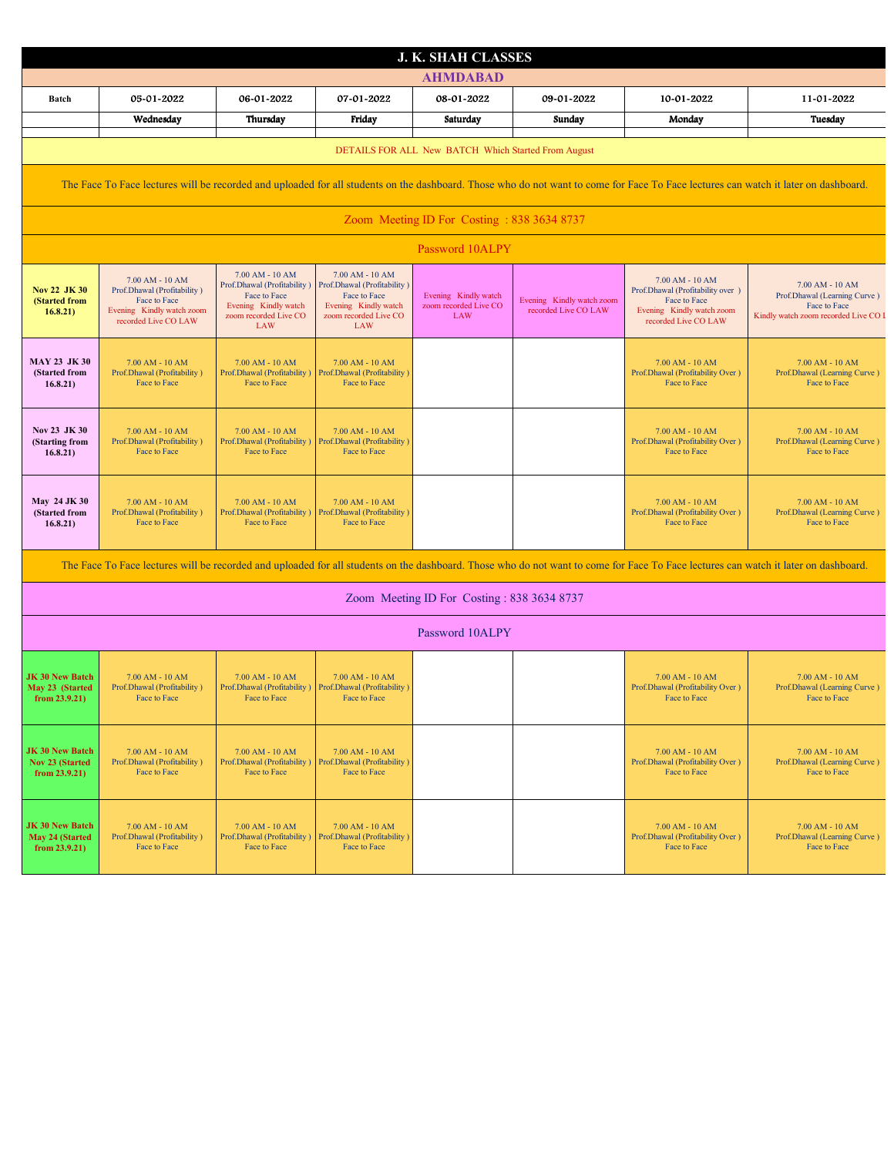| <b>J. K. SHAH CLASSES</b>                                                                                                                                                           |                                                                                                                     |                                                                                                                               |                                                                                                                               |                                                             |                                                   |                                                                                                                          |                                                                                                             |  |  |
|-------------------------------------------------------------------------------------------------------------------------------------------------------------------------------------|---------------------------------------------------------------------------------------------------------------------|-------------------------------------------------------------------------------------------------------------------------------|-------------------------------------------------------------------------------------------------------------------------------|-------------------------------------------------------------|---------------------------------------------------|--------------------------------------------------------------------------------------------------------------------------|-------------------------------------------------------------------------------------------------------------|--|--|
| <b>AHMDABAD</b>                                                                                                                                                                     |                                                                                                                     |                                                                                                                               |                                                                                                                               |                                                             |                                                   |                                                                                                                          |                                                                                                             |  |  |
| <b>Batch</b>                                                                                                                                                                        | 05-01-2022                                                                                                          | 06-01-2022                                                                                                                    | 07-01-2022                                                                                                                    | 08-01-2022                                                  | 09-01-2022                                        | 10-01-2022                                                                                                               | 11-01-2022                                                                                                  |  |  |
|                                                                                                                                                                                     | Wednesday                                                                                                           | Thursday                                                                                                                      | Friday                                                                                                                        | Saturday                                                    | Sunday                                            | Monday                                                                                                                   | Tuesday                                                                                                     |  |  |
| DETAILS FOR ALL New BATCH Which Started From August                                                                                                                                 |                                                                                                                     |                                                                                                                               |                                                                                                                               |                                                             |                                                   |                                                                                                                          |                                                                                                             |  |  |
| The Face To Face lectures will be recorded and uploaded for all students on the dashboard. Those who do not want to come for Face To Face lectures can watch it later on dashboard. |                                                                                                                     |                                                                                                                               |                                                                                                                               |                                                             |                                                   |                                                                                                                          |                                                                                                             |  |  |
| Zoom Meeting ID For Costing: 838 3634 8737<br>Password 10ALPY                                                                                                                       |                                                                                                                     |                                                                                                                               |                                                                                                                               |                                                             |                                                   |                                                                                                                          |                                                                                                             |  |  |
| Nov 22 JK 30<br>(Started from<br>16.8.21                                                                                                                                            | 7.00 AM - 10 AM<br>Prof.Dhawal (Profitability)<br>Face to Face<br>Evening Kindly watch zoom<br>recorded Live CO LAW | 7.00 AM - 10 AM<br>Prof.Dhawal (Profitability)<br>Face to Face<br>Evening Kindly watch<br>zoom recorded Live CO<br><b>LAW</b> | 7.00 AM - 10 AM<br>Prof.Dhawal (Profitability)<br>Face to Face<br>Evening Kindly watch<br>zoom recorded Live CO<br><b>LAW</b> | Evening Kindly watch<br>zoom recorded Live CO<br><b>LAW</b> | Evening Kindly watch zoom<br>recorded Live CO LAW | 7.00 AM - 10 AM<br>Prof.Dhawal (Profitability over)<br>Face to Face<br>Evening Kindly watch zoom<br>recorded Live CO LAW | $7.00$ AM - $10$ AM<br>Prof.Dhawal (Learning Curve)<br>Face to Face<br>Kindly watch zoom recorded Live CO I |  |  |
| <b>MAY 23 JK 30</b><br>(Started from<br>16.8.21)                                                                                                                                    | 7.00 AM - 10 AM<br>Prof.Dhawal (Profitability)<br>Face to Face                                                      | $7.00$ AM - $10$ AM<br>Prof.Dhawal (Profitability)<br>Face to Face                                                            | 7.00 AM - 10 AM<br>Prof.Dhawal (Profitability)<br>Face to Face                                                                |                                                             |                                                   | 7.00 AM - 10 AM<br>Prof.Dhawal (Profitability Over)<br>Face to Face                                                      | $7.00$ AM - $10$ AM<br>Prof.Dhawal (Learning Curve)<br>Face to Face                                         |  |  |
| Nov 23 JK 30<br>(Starting from<br>16.8.21)                                                                                                                                          | $7.00$ AM - 10 AM<br>Prof.Dhawal (Profitability)<br>Face to Face                                                    | $7.00$ AM - $10$ AM<br>Prof.Dhawal (Profitability)<br>Face to Face                                                            | $7.00$ AM - $10$ AM<br>Prof.Dhawal (Profitability)<br>Face to Face                                                            |                                                             |                                                   | 7.00 AM - 10 AM<br>Prof.Dhawal (Profitability Over)<br>Face to Face                                                      | 7.00 AM - 10 AM<br>Prof.Dhawal (Learning Curve)<br>Face to Face                                             |  |  |
| May 24 JK 30<br>(Started from<br>16.8.21)                                                                                                                                           | 7.00 AM - 10 AM<br>Prof.Dhawal (Profitability)<br>Face to Face                                                      | $7.00$ AM - $10$ AM<br>Prof.Dhawal (Profitability)<br>Face to Face                                                            | 7.00 AM - 10 AM<br>Prof.Dhawal (Profitability)<br>Face to Face                                                                |                                                             |                                                   | 7.00 AM - 10 AM<br>Prof.Dhawal (Profitability Over)<br>Face to Face                                                      | $7.00$ AM - $10$ AM<br>Prof.Dhawal (Learning Curve)<br>Face to Face                                         |  |  |
| The Face To Face lectures will be recorded and uploaded for all students on the dashboard. Those who do not want to come for Face To Face lectures can watch it later on dashboard. |                                                                                                                     |                                                                                                                               |                                                                                                                               |                                                             |                                                   |                                                                                                                          |                                                                                                             |  |  |
| Zoom Meeting ID For Costing: 838 3634 8737                                                                                                                                          |                                                                                                                     |                                                                                                                               |                                                                                                                               |                                                             |                                                   |                                                                                                                          |                                                                                                             |  |  |
| Password 10ALPY                                                                                                                                                                     |                                                                                                                     |                                                                                                                               |                                                                                                                               |                                                             |                                                   |                                                                                                                          |                                                                                                             |  |  |
| JK 30 New Batch<br>May 23 (Started<br>from $23.9.21$ )                                                                                                                              | 7.00 AM - 10 AM<br>Prof.Dhawal (Profitability)<br>Face to Face                                                      | $7.00$ AM - $10$ AM<br>Prof.Dhawal (Profitability)<br>Face to Face                                                            | $7.00$ AM - $10$ AM<br>Prof.Dhawal (Profitability)<br>Face to Face                                                            |                                                             |                                                   | 7.00 AM - 10 AM<br>Prof.Dhawal (Profitability Over)<br>Face to Face                                                      | $7.00$ AM - $10$ AM<br>Prof.Dhawal (Learning Curve)<br>Face to Face                                         |  |  |
| JK 30 New Batch<br>Nov 23 (Started<br>from $23.9.21$ )                                                                                                                              | $7.00$ AM - $10$ AM<br>Prof.Dhawal (Profitability)<br>Face to Face                                                  | 7.00 AM - 10 AM<br>Prof.Dhawal (Profitability)<br>Face to Face                                                                | $7.00$ AM - $10$ AM<br>Prof.Dhawal (Profitability)<br>Face to Face                                                            |                                                             |                                                   | $7.00$ AM - $10$ AM $\,$<br>Prof.Dhawal (Profitability Over)<br>Face to Face                                             | $7.00$ AM - $10$ AM<br>Prof.Dhawal (Learning Curve)<br>Face to Face                                         |  |  |
| JK 30 New Batch<br>May 24 (Started<br>from $23.9.21$ )                                                                                                                              | 7.00 AM - 10 AM<br>Prof.Dhawal (Profitability)<br>Face to Face                                                      | 7.00 AM - 10 AM<br>Prof.Dhawal (Profitability)<br>Face to Face                                                                | $7.00$ AM - $10$ AM<br>Prof.Dhawal (Profitability)<br>Face to Face                                                            |                                                             |                                                   | 7.00 AM - 10 AM<br>Prof.Dhawal (Profitability Over)<br>Face to Face                                                      | 7.00 AM - 10 AM<br>Prof.Dhawal (Learning Curve)<br>Face to Face                                             |  |  |